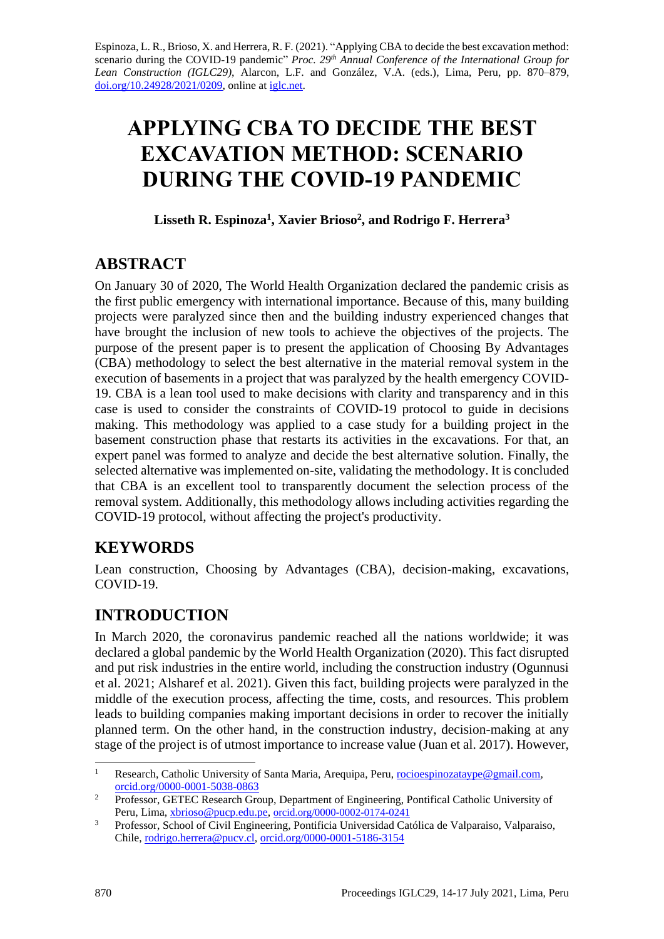Espinoza, L. R., Brioso, X. and Herrera, R. F. (2021). "Applying CBA to decide the best excavation method: scenario during the COVID-19 pandemic" *Proc. 29 th Annual Conference of the International Group for Lean Construction (IGLC29)*, Alarcon, L.F. and González, V.A. (eds.)*,* Lima, Peru, pp. 870–879, [doi.org/10.24928/2021/0209,](https://doi.org/10.24928/2021/0209) online a[t iglc.net.](http://iglc.net/)

# **APPLYING CBA TO DECIDE THE BEST EXCAVATION METHOD: SCENARIO DURING THE COVID-19 PANDEMIC**

**Lisseth R. Espinoza<sup>1</sup> , Xavier Brioso<sup>2</sup> , and Rodrigo F. Herrera<sup>3</sup>**

# **ABSTRACT**

On January 30 of 2020, The World Health Organization declared the pandemic crisis as the first public emergency with international importance. Because of this, many building projects were paralyzed since then and the building industry experienced changes that have brought the inclusion of new tools to achieve the objectives of the projects. The purpose of the present paper is to present the application of Choosing By Advantages (CBA) methodology to select the best alternative in the material removal system in the execution of basements in a project that was paralyzed by the health emergency COVID-19. CBA is a lean tool used to make decisions with clarity and transparency and in this case is used to consider the constraints of COVID-19 protocol to guide in decisions making. This methodology was applied to a case study for a building project in the basement construction phase that restarts its activities in the excavations. For that, an expert panel was formed to analyze and decide the best alternative solution. Finally, the selected alternative was implemented on-site, validating the methodology. It is concluded that CBA is an excellent tool to transparently document the selection process of the removal system. Additionally, this methodology allows including activities regarding the COVID-19 protocol, without affecting the project's productivity.

# **KEYWORDS**

Lean construction, Choosing by Advantages (CBA), decision-making, excavations, COVID-19.

# **INTRODUCTION**

In March 2020, the coronavirus pandemic reached all the nations worldwide; it was declared a global pandemic by the World Health Organization (2020). This fact disrupted and put risk industries in the entire world, including the construction industry (Ogunnusi et al. 2021; Alsharef et al. 2021). Given this fact, building projects were paralyzed in the middle of the execution process, affecting the time, costs, and resources. This problem leads to building companies making important decisions in order to recover the initially planned term. On the other hand, in the construction industry, decision-making at any stage of the project is of utmost importance to increase value (Juan et al. 2017). However,

<sup>&</sup>lt;sup>1</sup> Research, Catholic University of Santa Maria, Arequipa, Peru, [rocioespinozataype@gmail.com,](mailto:rocioespinozataype@gmail.com) [orcid.org/0000-0001-5038-0863](http://orcid.org/0000-0001-5038-0863)

<sup>&</sup>lt;sup>2</sup> Professor, GETEC Research Group, Department of Engineering, Pontifical Catholic University of Peru, Lima[, xbrioso@pucp.edu.pe,](mailto:xbrioso@pucp.edu.pe) [orcid.org/0000-0002-0174-0241](http://orcid.org/0000-0002-0174-0241)

<sup>&</sup>lt;sup>3</sup> Professor, School of Civil Engineering, Pontificia Universidad Católica de Valparaiso, Valparaiso, Chile[, rodrigo.herrera@pucv.cl,](mailto:rodrigo.herrera@pucv.cl) [orcid.org/0000-0001-5186-3154](https://orcid.org/0000-0001-5186-3154)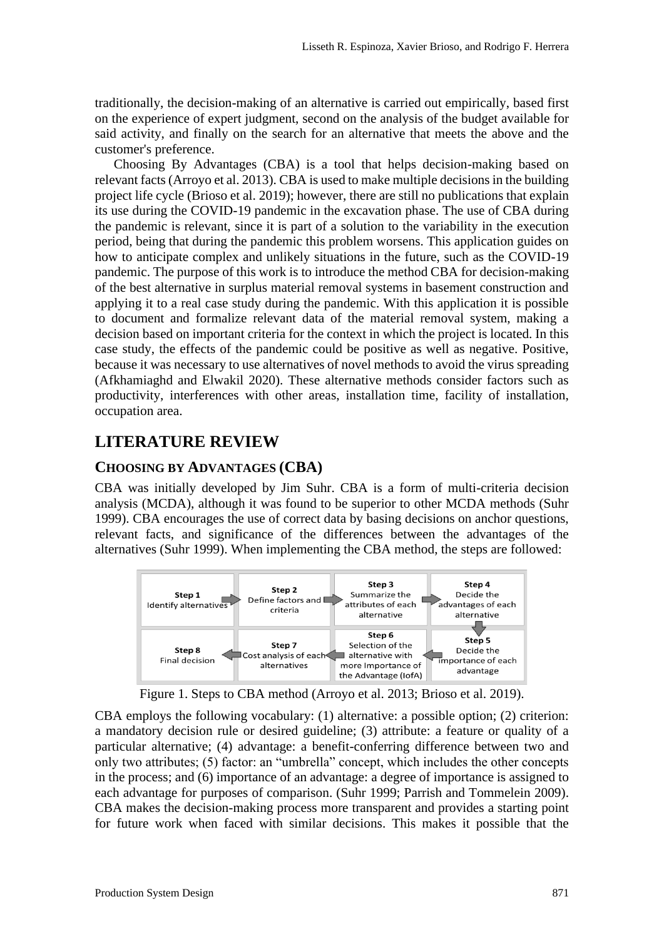traditionally, the decision-making of an alternative is carried out empirically, based first on the experience of expert judgment, second on the analysis of the budget available for said activity, and finally on the search for an alternative that meets the above and the customer's preference.

Choosing By Advantages (CBA) is a tool that helps decision-making based on relevant facts (Arroyo et al. 2013). CBA is used to make multiple decisions in the building project life cycle (Brioso et al. 2019); however, there are still no publications that explain its use during the COVID-19 pandemic in the excavation phase. The use of CBA during the pandemic is relevant, since it is part of a solution to the variability in the execution period, being that during the pandemic this problem worsens. This application guides on how to anticipate complex and unlikely situations in the future, such as the COVID-19 pandemic. The purpose of this work is to introduce the method CBA for decision-making of the best alternative in surplus material removal systems in basement construction and applying it to a real case study during the pandemic. With this application it is possible to document and formalize relevant data of the material removal system, making a decision based on important criteria for the context in which the project is located. In this case study, the effects of the pandemic could be positive as well as negative. Positive, because it was necessary to use alternatives of novel methods to avoid the virus spreading (Afkhamiaghd and Elwakil 2020). These alternative methods consider factors such as productivity, interferences with other areas, installation time, facility of installation, occupation area.

# **LITERATURE REVIEW**

### **CHOOSING BY ADVANTAGES (CBA)**

CBA was initially developed by Jim Suhr. CBA is a form of multi-criteria decision analysis (MCDA), although it was found to be superior to other MCDA methods (Suhr 1999). CBA encourages the use of correct data by basing decisions on anchor questions, relevant facts, and significance of the differences between the advantages of the alternatives (Suhr 1999). When implementing the CBA method, the steps are followed:



Figure 1. Steps to CBA method (Arroyo et al. 2013; Brioso et al. 2019).

CBA employs the following vocabulary: (1) alternative: a possible option; (2) criterion: a mandatory decision rule or desired guideline; (3) attribute: a feature or quality of a particular alternative; (4) advantage: a benefit-conferring difference between two and only two attributes; (5) factor: an "umbrella" concept, which includes the other concepts in the process; and (6) importance of an advantage: a degree of importance is assigned to each advantage for purposes of comparison. (Suhr 1999; Parrish and Tommelein 2009). CBA makes the decision-making process more transparent and provides a starting point for future work when faced with similar decisions. This makes it possible that the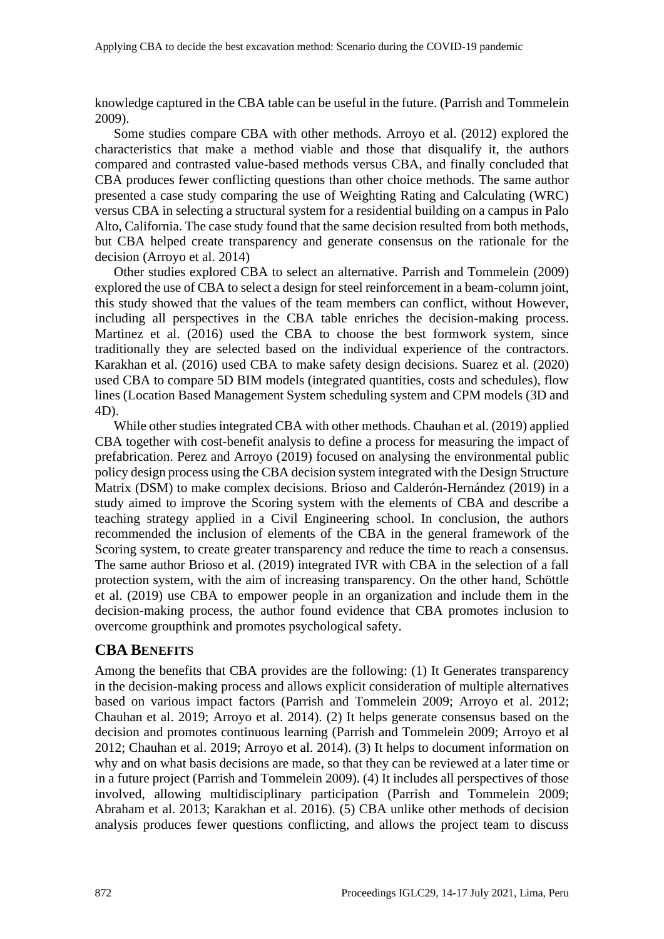knowledge captured in the CBA table can be useful in the future. (Parrish and Tommelein 2009).

Some studies compare CBA with other methods. Arroyo et al. (2012) explored the characteristics that make a method viable and those that disqualify it, the authors compared and contrasted value-based methods versus CBA, and finally concluded that CBA produces fewer conflicting questions than other choice methods. The same author presented a case study comparing the use of Weighting Rating and Calculating (WRC) versus CBA in selecting a structural system for a residential building on a campus in Palo Alto, California. The case study found that the same decision resulted from both methods, but CBA helped create transparency and generate consensus on the rationale for the decision (Arroyo et al. 2014)

Other studies explored CBA to select an alternative. Parrish and Tommelein (2009) explored the use of CBA to select a design for steel reinforcement in a beam-column joint, this study showed that the values of the team members can conflict, without However, including all perspectives in the CBA table enriches the decision-making process. Martinez et al. (2016) used the CBA to choose the best formwork system, since traditionally they are selected based on the individual experience of the contractors. Karakhan et al. (2016) used CBA to make safety design decisions. Suarez et al. (2020) used CBA to compare 5D BIM models (integrated quantities, costs and schedules), flow lines (Location Based Management System scheduling system and CPM models (3D and 4D).

While other studies integrated CBA with other methods. Chauhan et al. (2019) applied CBA together with cost-benefit analysis to define a process for measuring the impact of prefabrication. Perez and Arroyo (2019) focused on analysing the environmental public policy design process using the CBA decision system integrated with the Design Structure Matrix (DSM) to make complex decisions. Brioso and Calderón-Hernández (2019) in a study aimed to improve the Scoring system with the elements of CBA and describe a teaching strategy applied in a Civil Engineering school. In conclusion, the authors recommended the inclusion of elements of the CBA in the general framework of the Scoring system, to create greater transparency and reduce the time to reach a consensus. The same author Brioso et al. (2019) integrated IVR with CBA in the selection of a fall protection system, with the aim of increasing transparency. On the other hand, Schöttle et al. (2019) use CBA to empower people in an organization and include them in the decision-making process, the author found evidence that CBA promotes inclusion to overcome groupthink and promotes psychological safety.

### **CBA BENEFITS**

Among the benefits that CBA provides are the following: (1) It Generates transparency in the decision-making process and allows explicit consideration of multiple alternatives based on various impact factors (Parrish and Tommelein 2009; Arroyo et al. 2012; Chauhan et al. 2019; Arroyo et al. 2014). (2) It helps generate consensus based on the decision and promotes continuous learning (Parrish and Tommelein 2009; Arroyo et al 2012; Chauhan et al. 2019; Arroyo et al. 2014). (3) It helps to document information on why and on what basis decisions are made, so that they can be reviewed at a later time or in a future project (Parrish and Tommelein 2009). (4) It includes all perspectives of those involved, allowing multidisciplinary participation (Parrish and Tommelein 2009; Abraham et al. 2013; Karakhan et al. 2016). (5) CBA unlike other methods of decision analysis produces fewer questions conflicting, and allows the project team to discuss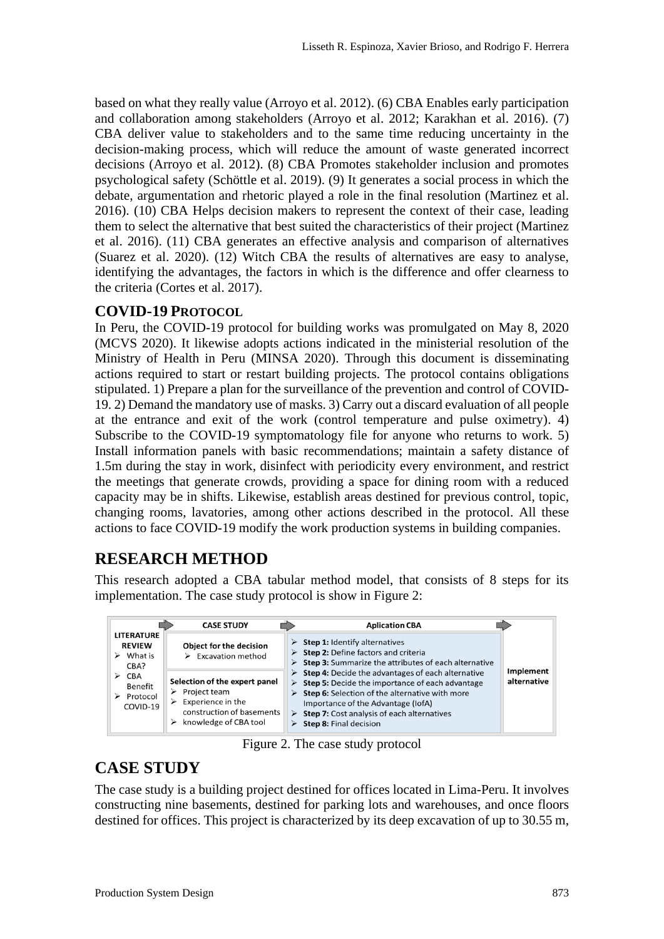based on what they really value (Arroyo et al. 2012). (6) CBA Enables early participation and collaboration among stakeholders (Arroyo et al. 2012; Karakhan et al. 2016). (7) CBA deliver value to stakeholders and to the same time reducing uncertainty in the decision-making process, which will reduce the amount of waste generated incorrect decisions (Arroyo et al. 2012). (8) CBA Promotes stakeholder inclusion and promotes psychological safety (Schöttle et al. 2019). (9) It generates a social process in which the debate, argumentation and rhetoric played a role in the final resolution (Martinez et al. 2016). (10) CBA Helps decision makers to represent the context of their case, leading them to select the alternative that best suited the characteristics of their project (Martinez et al. 2016). (11) CBA generates an effective analysis and comparison of alternatives (Suarez et al. 2020). (12) Witch CBA the results of alternatives are easy to analyse, identifying the advantages, the factors in which is the difference and offer clearness to the criteria (Cortes et al. 2017).

### **COVID-19 PROTOCOL**

In Peru, the COVID-19 protocol for building works was promulgated on May 8, 2020 (MCVS 2020). It likewise adopts actions indicated in the ministerial resolution of the Ministry of Health in Peru (MINSA 2020). Through this document is disseminating actions required to start or restart building projects. The protocol contains obligations stipulated. 1) Prepare a plan for the surveillance of the prevention and control of COVID-19. 2) Demand the mandatory use of masks. 3) Carry out a discard evaluation of all people at the entrance and exit of the work (control temperature and pulse oximetry). 4) Subscribe to the COVID-19 symptomatology file for anyone who returns to work. 5) Install information panels with basic recommendations; maintain a safety distance of 1.5m during the stay in work, disinfect with periodicity every environment, and restrict the meetings that generate crowds, providing a space for dining room with a reduced capacity may be in shifts. Likewise, establish areas destined for previous control, topic, changing rooms, lavatories, among other actions described in the protocol. All these actions to face COVID-19 modify the work production systems in building companies.

# **RESEARCH METHOD**

This research adopted a CBA tabular method model, that consists of 8 steps for its implementation. The case study protocol is show in Figure 2:



Figure 2. The case study protocol

# **CASE STUDY**

The case study is a building project destined for offices located in Lima-Peru. It involves constructing nine basements, destined for parking lots and warehouses, and once floors destined for offices. This project is characterized by its deep excavation of up to 30.55 m,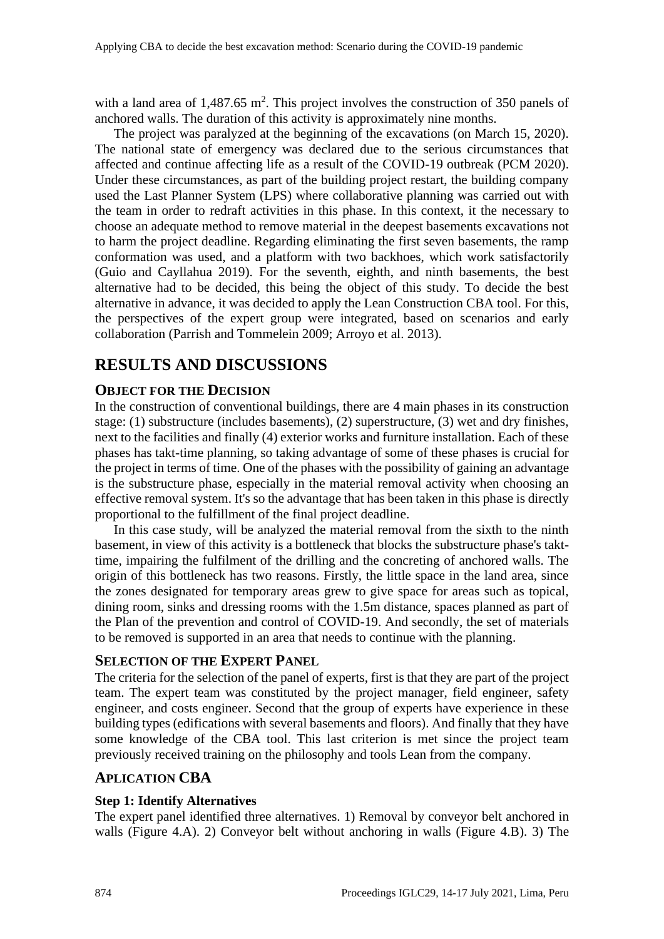with a land area of  $1,487.65$  m<sup>2</sup>. This project involves the construction of 350 panels of anchored walls. The duration of this activity is approximately nine months.

The project was paralyzed at the beginning of the excavations (on March 15, 2020). The national state of emergency was declared due to the serious circumstances that affected and continue affecting life as a result of the COVID-19 outbreak (PCM 2020). Under these circumstances, as part of the building project restart, the building company used the Last Planner System (LPS) where collaborative planning was carried out with the team in order to redraft activities in this phase. In this context, it the necessary to choose an adequate method to remove material in the deepest basements excavations not to harm the project deadline. Regarding eliminating the first seven basements, the ramp conformation was used, and a platform with two backhoes, which work satisfactorily (Guio and Cayllahua 2019). For the seventh, eighth, and ninth basements, the best alternative had to be decided, this being the object of this study. To decide the best alternative in advance, it was decided to apply the Lean Construction CBA tool. For this, the perspectives of the expert group were integrated, based on scenarios and early collaboration (Parrish and Tommelein 2009; Arroyo et al. 2013).

# **RESULTS AND DISCUSSIONS**

### **OBJECT FOR THE DECISION**

In the construction of conventional buildings, there are 4 main phases in its construction stage: (1) substructure (includes basements), (2) superstructure, (3) wet and dry finishes, next to the facilities and finally (4) exterior works and furniture installation. Each of these phases has takt-time planning, so taking advantage of some of these phases is crucial for the project in terms of time. One of the phases with the possibility of gaining an advantage is the substructure phase, especially in the material removal activity when choosing an effective removal system. It's so the advantage that has been taken in this phase is directly proportional to the fulfillment of the final project deadline.

In this case study, will be analyzed the material removal from the sixth to the ninth basement, in view of this activity is a bottleneck that blocks the substructure phase's takttime, impairing the fulfilment of the drilling and the concreting of anchored walls. The origin of this bottleneck has two reasons. Firstly, the little space in the land area, since the zones designated for temporary areas grew to give space for areas such as topical, dining room, sinks and dressing rooms with the 1.5m distance, spaces planned as part of the Plan of the prevention and control of COVID-19. And secondly, the set of materials to be removed is supported in an area that needs to continue with the planning.

### **SELECTION OF THE EXPERT PANEL**

The criteria for the selection of the panel of experts, first is that they are part of the project team. The expert team was constituted by the project manager, field engineer, safety engineer, and costs engineer. Second that the group of experts have experience in these building types (edifications with several basements and floors). And finally that they have some knowledge of the CBA tool. This last criterion is met since the project team previously received training on the philosophy and tools Lean from the company.

### **APLICATION CBA**

### **Step 1: Identify Alternatives**

The expert panel identified three alternatives. 1) Removal by conveyor belt anchored in walls (Figure 4.A). 2) Conveyor belt without anchoring in walls (Figure 4.B). 3) The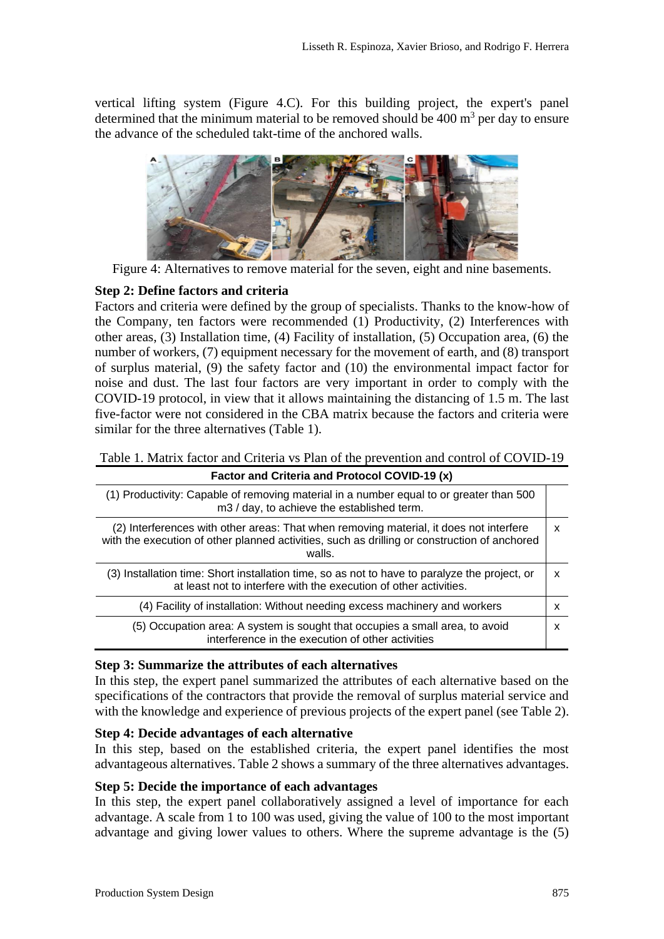vertical lifting system (Figure 4.C). For this building project, the expert's panel determined that the minimum material to be removed should be  $400 \text{ m}^3$  per day to ensure the advance of the scheduled takt-time of the anchored walls.



Figure 4: Alternatives to remove material for the seven, eight and nine basements.

#### **Step 2: Define factors and criteria**

Factors and criteria were defined by the group of specialists. Thanks to the know-how of the Company, ten factors were recommended (1) Productivity, (2) Interferences with other areas, (3) Installation time, (4) Facility of installation, (5) Occupation area, (6) the number of workers, (7) equipment necessary for the movement of earth, and (8) transport of surplus material, (9) the safety factor and (10) the environmental impact factor for noise and dust. The last four factors are very important in order to comply with the COVID-19 protocol, in view that it allows maintaining the distancing of 1.5 m. The last five-factor were not considered in the CBA matrix because the factors and criteria were similar for the three alternatives (Table 1).

|  | Table 1. Matrix factor and Criteria vs Plan of the prevention and control of COVID-19 |
|--|---------------------------------------------------------------------------------------|
|  |                                                                                       |
|  |                                                                                       |

| Factor and Criteria and Protocol COVID-19 (x)                                                                                                                                                    |   |  |  |  |
|--------------------------------------------------------------------------------------------------------------------------------------------------------------------------------------------------|---|--|--|--|
| (1) Productivity: Capable of removing material in a number equal to or greater than 500<br>m3 / day, to achieve the established term.                                                            |   |  |  |  |
| (2) Interferences with other areas: That when removing material, it does not interfere<br>with the execution of other planned activities, such as drilling or construction of anchored<br>walls. | x |  |  |  |
| (3) Installation time: Short installation time, so as not to have to paralyze the project, or<br>at least not to interfere with the execution of other activities.                               | x |  |  |  |
| (4) Facility of installation: Without needing excess machinery and workers                                                                                                                       | x |  |  |  |
| (5) Occupation area: A system is sought that occupies a small area, to avoid<br>interference in the execution of other activities                                                                | x |  |  |  |

#### **Step 3: Summarize the attributes of each alternatives**

In this step, the expert panel summarized the attributes of each alternative based on the specifications of the contractors that provide the removal of surplus material service and with the knowledge and experience of previous projects of the expert panel (see Table 2).

#### **Step 4: Decide advantages of each alternative**

In this step, based on the established criteria, the expert panel identifies the most advantageous alternatives. Table 2 shows a summary of the three alternatives advantages.

#### **Step 5: Decide the importance of each advantages**

In this step, the expert panel collaboratively assigned a level of importance for each advantage. A scale from 1 to 100 was used, giving the value of 100 to the most important advantage and giving lower values to others. Where the supreme advantage is the (5)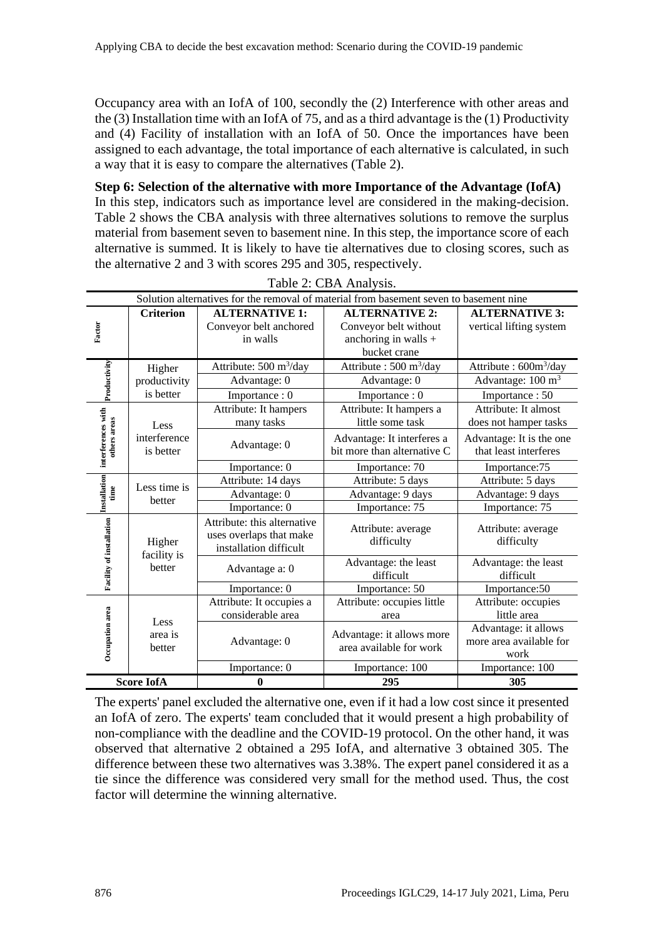Occupancy area with an IofA of 100, secondly the (2) Interference with other areas and the  $(3)$  Installation time with an IofA of 75, and as a third advantage is the  $(1)$  Productivity and (4) Facility of installation with an IofA of 50. Once the importances have been assigned to each advantage, the total importance of each alternative is calculated, in such a way that it is easy to compare the alternatives (Table 2).

**Step 6: Selection of the alternative with more Importance of the Advantage (IofA)** In this step, indicators such as importance level are considered in the making-decision. Table 2 shows the CBA analysis with three alternatives solutions to remove the surplus material from basement seven to basement nine. In this step, the importance score of each alternative is summed. It is likely to have tie alternatives due to closing scores, such as the alternative 2 and 3 with scores 295 and 305, respectively.

| $1000 \, \omega$ . CDI VI Maryons.                                                     |                                                |                                                                                  |                                                                                        |                                                                    |  |  |  |
|----------------------------------------------------------------------------------------|------------------------------------------------|----------------------------------------------------------------------------------|----------------------------------------------------------------------------------------|--------------------------------------------------------------------|--|--|--|
| Solution alternatives for the removal of material from basement seven to basement nine |                                                |                                                                                  |                                                                                        |                                                                    |  |  |  |
| Factor                                                                                 | <b>Criterion</b>                               | <b>ALTERNATIVE 1:</b><br>Conveyor belt anchored<br>in walls                      | <b>ALTERNATIVE 2:</b><br>Conveyor belt without<br>anchoring in walls +<br>bucket crane | <b>ALTERNATIVE 3:</b><br>vertical lifting system                   |  |  |  |
| Productivity                                                                           | Higher<br>productivity                         | Attribute: $500 \text{ m}^3/\text{day}$<br>Advantage: 0                          | Attribute : $500 \text{ m}^3/\text{day}$<br>Advantage: 0                               | Attribute: 600m <sup>3</sup> /day<br>Advantage: 100 m <sup>3</sup> |  |  |  |
| interferences with<br>others areas                                                     | is better<br>Less<br>interference<br>is better | Importance: 0<br>Attribute: It hampers<br>many tasks                             | Importance: 0<br>Attribute: It hampers a<br>little some task                           | Importance: 50<br>Attribute: It almost<br>does not hamper tasks    |  |  |  |
|                                                                                        |                                                | Advantage: 0                                                                     | Advantage: It interferes a<br>bit more than alternative C                              | Advantage: It is the one<br>that least interferes                  |  |  |  |
| Installation<br>time                                                                   | Less time is<br>better                         | Importance: 0                                                                    | Importance: 70                                                                         | Importance:75                                                      |  |  |  |
|                                                                                        |                                                | Attribute: 14 days                                                               | Attribute: 5 days                                                                      | Attribute: 5 days                                                  |  |  |  |
|                                                                                        |                                                | Advantage: 0                                                                     | Advantage: 9 days                                                                      | Advantage: 9 days                                                  |  |  |  |
|                                                                                        |                                                | Importance: 0                                                                    | Importance: 75                                                                         | Importance: 75                                                     |  |  |  |
| Facility of installation                                                               | Higher<br>facility is<br>better                | Attribute: this alternative<br>uses overlaps that make<br>installation difficult | Attribute: average<br>difficulty                                                       | Attribute: average<br>difficulty                                   |  |  |  |
|                                                                                        |                                                | Advantage a: 0                                                                   | Advantage: the least<br>difficult                                                      | Advantage: the least<br>difficult                                  |  |  |  |
| Occupation area                                                                        | Less<br>area is<br>better                      | Importance: 0                                                                    | Importance: 50                                                                         | Importance: 50                                                     |  |  |  |
|                                                                                        |                                                | Attribute: It occupies a<br>considerable area                                    | Attribute: occupies little<br>area                                                     | Attribute: occupies<br>little area                                 |  |  |  |
|                                                                                        |                                                | Advantage: 0                                                                     | Advantage: it allows more<br>area available for work                                   | Advantage: it allows<br>more area available for<br>work            |  |  |  |
|                                                                                        |                                                | Importance: 0                                                                    | Importance: 100                                                                        | Importance: 100                                                    |  |  |  |
| <b>Score IofA</b>                                                                      |                                                | $\bf{0}$                                                                         | 295                                                                                    | 305                                                                |  |  |  |

Table 2: CBA Analysis.

The experts' panel excluded the alternative one, even if it had a low cost since it presented an IofA of zero. The experts' team concluded that it would present a high probability of non-compliance with the deadline and the COVID-19 protocol. On the other hand, it was observed that alternative 2 obtained a 295 IofA, and alternative 3 obtained 305. The difference between these two alternatives was 3.38%. The expert panel considered it as a tie since the difference was considered very small for the method used. Thus, the cost factor will determine the winning alternative.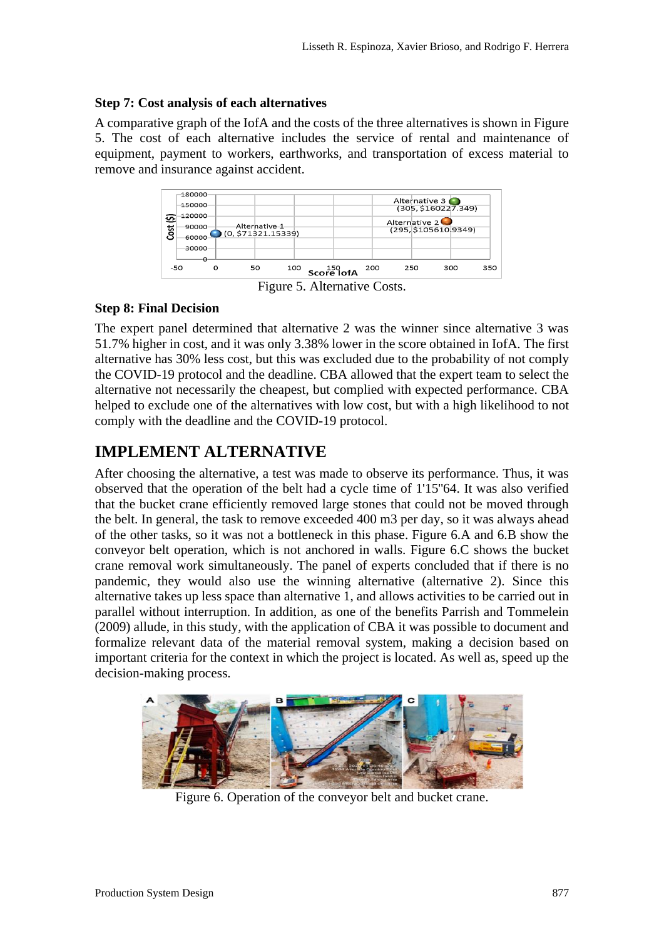### **Step 7: Cost analysis of each alternatives**

A comparative graph of the IofA and the costs of the three alternatives is shown in Figure 5. The cost of each alternative includes the service of rental and maintenance of equipment, payment to workers, earthworks, and transportation of excess material to remove and insurance against accident.



Figure 5. Alternative Costs.

### **Step 8: Final Decision**

The expert panel determined that alternative 2 was the winner since alternative 3 was 51.7% higher in cost, and it was only 3.38% lower in the score obtained in IofA. The first alternative has 30% less cost, but this was excluded due to the probability of not comply the COVID-19 protocol and the deadline. CBA allowed that the expert team to select the alternative not necessarily the cheapest, but complied with expected performance. CBA helped to exclude one of the alternatives with low cost, but with a high likelihood to not comply with the deadline and the COVID-19 protocol.

# **IMPLEMENT ALTERNATIVE**

After choosing the alternative, a test was made to observe its performance. Thus, it was observed that the operation of the belt had a cycle time of 1'15''64. It was also verified that the bucket crane efficiently removed large stones that could not be moved through the belt. In general, the task to remove exceeded 400 m3 per day, so it was always ahead of the other tasks, so it was not a bottleneck in this phase. Figure 6.A and 6.B show the conveyor belt operation, which is not anchored in walls. Figure 6.C shows the bucket crane removal work simultaneously. The panel of experts concluded that if there is no pandemic, they would also use the winning alternative (alternative 2). Since this alternative takes up less space than alternative 1, and allows activities to be carried out in parallel without interruption. In addition, as one of the benefits Parrish and Tommelein (2009) allude, in this study, with the application of CBA it was possible to document and formalize relevant data of the material removal system, making a decision based on important criteria for the context in which the project is located. As well as, speed up the decision-making process.



Figure 6. Operation of the conveyor belt and bucket crane.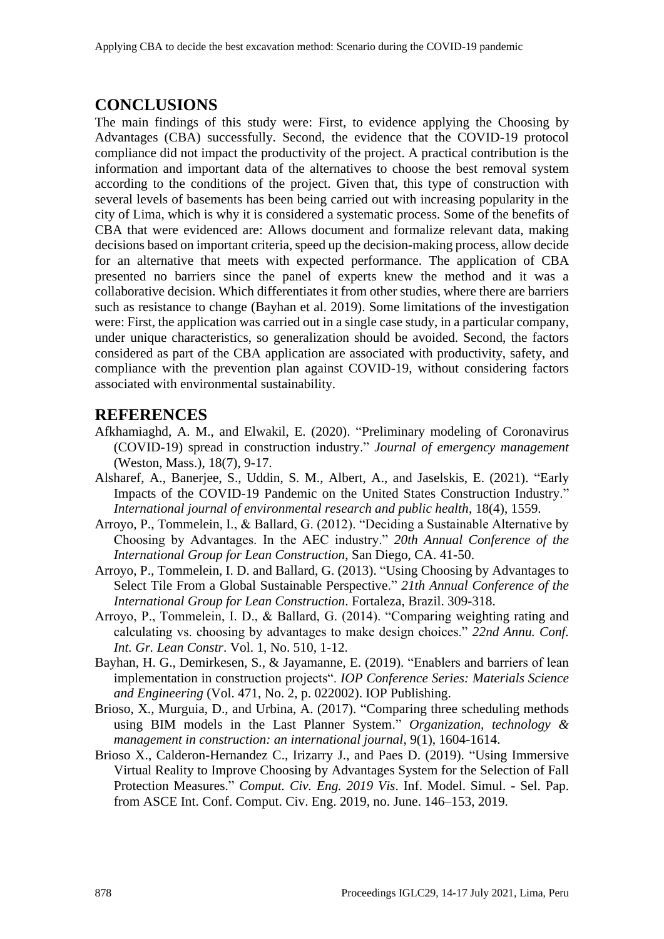### **CONCLUSIONS**

The main findings of this study were: First, to evidence applying the Choosing by Advantages (CBA) successfully. Second, the evidence that the COVID-19 protocol compliance did not impact the productivity of the project. A practical contribution is the information and important data of the alternatives to choose the best removal system according to the conditions of the project. Given that, this type of construction with several levels of basements has been being carried out with increasing popularity in the city of Lima, which is why it is considered a systematic process. Some of the benefits of CBA that were evidenced are: Allows document and formalize relevant data, making decisions based on important criteria, speed up the decision-making process, allow decide for an alternative that meets with expected performance. The application of CBA presented no barriers since the panel of experts knew the method and it was a collaborative decision. Which differentiates it from other studies, where there are barriers such as resistance to change (Bayhan et al. 2019). Some limitations of the investigation were: First, the application was carried out in a single case study, in a particular company, under unique characteristics, so generalization should be avoided. Second, the factors considered as part of the CBA application are associated with productivity, safety, and compliance with the prevention plan against COVID-19, without considering factors associated with environmental sustainability.

### **REFERENCES**

- Afkhamiaghd, A. M., and Elwakil, E. (2020). "Preliminary modeling of Coronavirus (COVID-19) spread in construction industry." *Journal of emergency management* (Weston, Mass.), 18(7), 9-17.
- Alsharef, A., Banerjee, S., Uddin, S. M., Albert, A., and Jaselskis, E. (2021). "Early Impacts of the COVID-19 Pandemic on the United States Construction Industry." *International journal of environmental research and public health*, 18(4), 1559.
- Arroyo, P., Tommelein, I., & Ballard, G. (2012). "Deciding a Sustainable Alternative by Choosing by Advantages. In the AEC industry." *20th Annual Conference of the International Group for Lean Construction*, San Diego, CA. 41-50.
- Arroyo, P., Tommelein, I. D. and Ballard, G. (2013). "Using Choosing by Advantages to Select Tile From a Global Sustainable Perspective." *21th Annual Conference of the International Group for Lean Construction*. Fortaleza, Brazil. 309-318.
- Arroyo, P., Tommelein, I. D., & Ballard, G. (2014). "Comparing weighting rating and calculating vs. choosing by advantages to make design choices." *22nd Annu. Conf. Int. Gr. Lean Constr*. Vol. 1, No. 510, 1-12.
- Bayhan, H. G., Demirkesen, S., & Jayamanne, E. (2019). "Enablers and barriers of lean implementation in construction projects". *IOP Conference Series: Materials Science and Engineering* (Vol. 471, No. 2, p. 022002). IOP Publishing.
- Brioso, X., Murguia, D., and Urbina, A. (2017). "Comparing three scheduling methods using BIM models in the Last Planner System." *Organization, technology & management in construction: an international journal*, 9(1), 1604-1614.
- Brioso X., Calderon-Hernandez C., Irizarry J., and Paes D. (2019). "Using Immersive Virtual Reality to Improve Choosing by Advantages System for the Selection of Fall Protection Measures." *Comput. Civ. Eng. 2019 Vis*. Inf. Model. Simul. - Sel. Pap. from ASCE Int. Conf. Comput. Civ. Eng. 2019, no. June. 146–153, 2019.